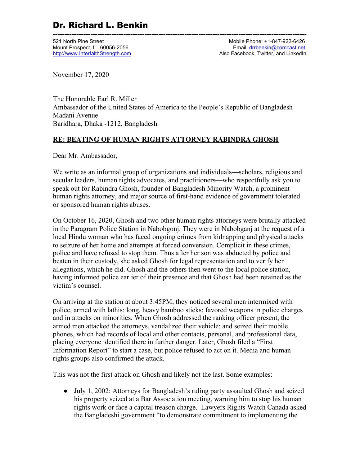------------------------------------------------------------------------------------------------------------ 521 North Pine Street Mobile Phone: +1-847-922-6426 Mount Prospect, IL 60056-2056 **Email: [drrbenkin@comcast.net](mailto:drrbenkin@comcast.net)** [http://www.InterfaithStrength.com](http://www.interfaithstrength.com/) **Also Facebook, Twitter, and LinkedIn** 

November 17, 2020

The Honorable Earl R. Miller Ambassador of the United States of America to the People's Republic of Bangladesh Madani Avenue Baridhara, Dhaka -1212, Bangladesh

#### **RE: BEATING OF HUMAN RIGHTS ATTORNEY RABINDRA GHOSH**

Dear Mr. Ambassador,

We write as an informal group of organizations and individuals—scholars, religious and secular leaders, human rights advocates, and practitioners—who respectfully ask you to speak out for Rabindra Ghosh, founder of Bangladesh Minority Watch, a prominent human rights attorney, and major source of first-hand evidence of government tolerated or sponsored human rights abuses.

On October 16, 2020, Ghosh and two other human rights attorneys were brutally attacked in the Paragram Police Station in Nabobgonj. They were in Nabobganj at the request of a local Hindu woman who has faced ongoing crimes from kidnapping and physical attacks to seizure of her home and attempts at forced conversion. Complicit in these crimes, police and have refused to stop them. Thus after her son was abducted by police and beaten in their custody, she asked Ghosh for legal representation and to verify her allegations, which he did. Ghosh and the others then went to the local police station, having informed police earlier of their presence and that Ghosh had been retained as the victim's counsel.

On arriving at the station at about 3:45PM, they noticed several men intermixed with police, armed with lathis: long, heavy bamboo sticks; favored weapons in police charges and in attacks on minorities. When Ghosh addressed the ranking officer present, the armed men attacked the attorneys, vandalized their vehicle: and seized their mobile phones, which had records of local and other contacts, personal, and professional data, placing everyone identified there in further danger. Later, Ghosh filed a "First Information Report" to start a case, but police refused to act on it. Media and human rights groups also confirmed the attack.

This was not the first attack on Ghosh and likely not the last. Some examples:

● July 1, 2002: Attorneys for Bangladesh's ruling party assaulted Ghosh and seized his property seized at a Bar Association meeting, warning him to stop his human rights work or face a capital treason charge. Lawyers Rights Watch Canada asked the Bangladeshi government "to demonstrate commitment to implementing the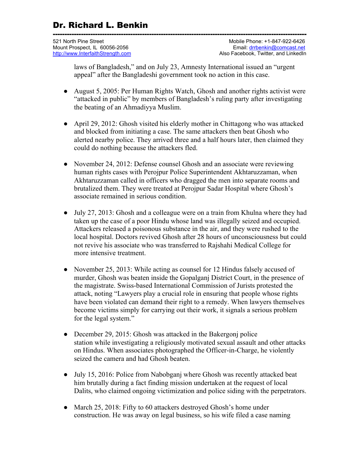| 521 North Pine Street             | Mobile Phone: +1-847-922-6426        |
|-----------------------------------|--------------------------------------|
| Mount Prospect, IL 60056-2056     | Email: drrbenkin@comcast.net         |
| http://www.InterfaithStrength.com | Also Facebook. Twitter, and LinkedIn |

laws of Bangladesh," and on July 23, Amnesty International issued an "urgent appeal" after the Bangladeshi government took no action in this case.

- August 5, 2005: Per Human Rights Watch, Ghosh and another rights activist were "attacked in public" by members of Bangladesh's ruling party after investigating the beating of an Ahmadiyya Muslim.
- April 29, 2012: Ghosh visited his elderly mother in Chittagong who was attacked and blocked from initiating a case. The same attackers then beat Ghosh who alerted nearby police. They arrived three and a half hours later, then claimed they could do nothing because the attackers fled.
- November 24, 2012: Defense counsel Ghosh and an associate were reviewing human rights cases with Perojpur Police Superintendent Akhtaruzzaman, when Akhtaruzzaman called in officers who dragged the men into separate rooms and brutalized them. They were treated at Perojpur Sadar Hospital where Ghosh's associate remained in serious condition.
- July 27, 2013: Ghosh and a colleague were on a train from Khulna where they had taken up the case of a poor Hindu whose land was illegally seized and occupied. Attackers released a poisonous substance in the air, and they were rushed to the local hospital. Doctors revived Ghosh after 28 hours of unconsciousness but could not revive his associate who was transferred to Rajshahi Medical College for more intensive treatment.
- November 25, 2013: While acting as counsel for 12 Hindus falsely accused of murder, Ghosh was beaten inside the Gopalganj District Court, in the presence of the magistrate. Swiss-based International Commission of Jurists protested the attack, noting "Lawyers play a crucial role in ensuring that people whose rights have been violated can demand their right to a remedy. When lawyers themselves become victims simply for carrying out their work, it signals a serious problem for the legal system."
- December 29, 2015: Ghosh was attacked in the Bakergoni police station while investigating a religiously motivated sexual assault and other attacks on Hindus. When associates photographed the Officer-in-Charge, he violently seized the camera and had Ghosh beaten.
- July 15, 2016: Police from Nabobganj where Ghosh was recently attacked beat him brutally during a fact finding mission undertaken at the request of local Dalits, who claimed ongoing victimization and police siding with the perpetrators.
- March 25, 2018: Fifty to 60 attackers destroyed Ghosh's home under construction. He was away on legal business, so his wife filed a case naming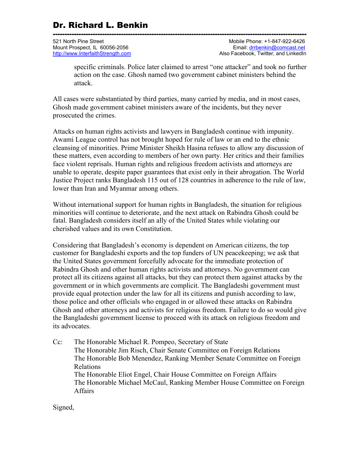------------------------------------------------------------------------------------------------------------ 521 North Pine Street Mobile Phone: +1-847-922-6426 Mount Prospect, IL 60056-2056 **Email: [drrbenkin@comcast.net](mailto:drrbenkin@comcast.net)** [http://www.InterfaithStrength.com](http://www.interfaithstrength.com/) **Also Facebook, Twitter, and LinkedIn** 

specific criminals. Police later claimed to arrest "one attacker" and took no further action on the case. Ghosh named two government cabinet ministers behind the attack.

All cases were substantiated by third parties, many carried by media, and in most cases, Ghosh made government cabinet ministers aware of the incidents, but they never prosecuted the crimes.

Attacks on human rights activists and lawyers in Bangladesh continue with impunity. Awami League control has not brought hoped for rule of law or an end to the ethnic cleansing of minorities. Prime Minister Sheikh Hasina refuses to allow any discussion of these matters, even according to members of her own party. Her critics and their families face violent reprisals. Human rights and religious freedom activists and attorneys are unable to operate, despite paper guarantees that exist only in their abrogation. The World Justice Project ranks Bangladesh 115 out of 128 countries in adherence to the rule of law, lower than Iran and Myanmar among others.

Without international support for human rights in Bangladesh, the situation for religious minorities will continue to deteriorate, and the next attack on Rabindra Ghosh could be fatal. Bangladesh considers itself an ally of the United States while violating our cherished values and its own Constitution.

Considering that Bangladesh's economy is dependent on American citizens, the top customer for Bangladeshi exports and the top funders of UN peacekeeping; we ask that the United States government forcefully advocate for the immediate protection of Rabindra Ghosh and other human rights activists and attorneys. No government can protect all its citizens against all attacks, but they can protect them against attacks by the government or in which governments are complicit. The Bangladeshi government must provide equal protection under the law for all its citizens and punish according to law, those police and other officials who engaged in or allowed these attacks on Rabindra Ghosh and other attorneys and activists for religious freedom. Failure to do so would give the Bangladeshi government license to proceed with its attack on religious freedom and its advocates.

Cc: The Honorable Michael R. Pompeo, Secretary of State The Honorable Jim Risch, Chair Senate Committee on Foreign Relations The Honorable Bob Menendez, Ranking Member Senate Committee on Foreign Relations The Honorable Eliot Engel, Chair House Committee on Foreign Affairs The Honorable Michael McCaul, Ranking Member House Committee on Foreign Affairs

Signed,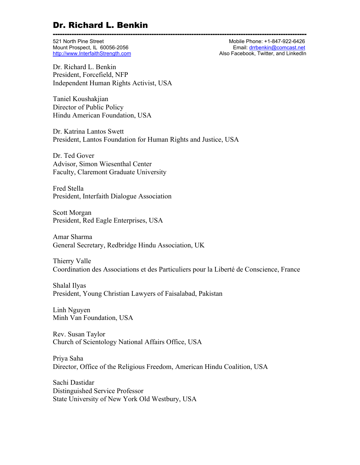------------------------------------------------------------------------------------------------------------ 521 North Pine Street Mobile Phone: +1-847-922-6426 Mount Prospect, IL 60056-2056 **Email:** driven by the mail: drivenkin@comcast.net<br>http://www.InterfaithStrength.com entropy and the computer of the Also Facebook, Twitter, and LinkedIn Also Facebook, Twitter, and LinkedIn

Dr. Richard L. Benkin President, Forcefield, NFP Independent Human Rights Activist, USA

Taniel Koushakjian Director of Public Policy Hindu American Foundation, USA

Dr. Katrina Lantos Swett President, Lantos Foundation for Human Rights and Justice, USA

Dr. Ted Gover Advisor, Simon Wiesenthal Center Faculty, Claremont Graduate University

Fred Stella President, Interfaith Dialogue Association

Scott Morgan President, Red Eagle Enterprises, USA

Amar Sharma General Secretary, Redbridge Hindu Association, UK

Thierry Valle Coordination des Associations et des Particuliers pour la Liberté de Conscience, France

Shalal Ilyas President, Young Christian Lawyers of Faisalabad, Pakistan

Linh Nguyen Minh Van Foundation, USA

Rev. Susan Taylor Church of Scientology National Affairs Office, USA

Priya Saha Director, Office of the Religious Freedom, American Hindu Coalition, USA

Sachi Dastidar Distinguished Service Professor State University of New York Old Westbury, USA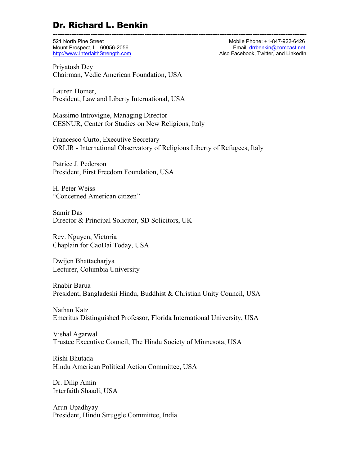------------------------------------------------------------------------------------------------------------ 521 North Pine Street Mobile Phone: +1-847-922-6426 Mount Prospect, IL 60056-2056 **Email: [drrbenkin@comcast.net](mailto:drrbenkin@comcast.net)** [http://www.InterfaithStrength.com](http://www.interfaithstrength.com/) **Also Facebook, Twitter, and LinkedIn** 

Priyatosh Dey Chairman, Vedic American Foundation, USA

Lauren Homer, President, Law and Liberty International, USA

Massimo Introvigne, Managing Director CESNUR, Center for Studies on New Religions, Italy

Francesco Curto, Executive Secretary ORLIR - International Observatory of Religious Liberty of Refugees, Italy

Patrice J. Pederson President, First Freedom Foundation, USA

H. Peter Weiss "Concerned American citizen"

Samir Das Director & Principal Solicitor, SD Solicitors, UK

Rev. Nguyen, Victoria Chaplain for CaoDai Today, USA

Dwijen Bhattacharjya Lecturer, Columbia University

Rnabir Barua President, Bangladeshi Hindu, Buddhist & Christian Unity Council, USA

Nathan Katz Emeritus Distinguished Professor, Florida International University, USA

Vishal Agarwal Trustee Executive Council, The Hindu Society of Minnesota, USA

Rishi Bhutada Hindu American Political Action Committee, USA

Dr. Dilip Amin Interfaith Shaadi, USA

Arun Upadhyay President, Hindu Struggle Committee, India